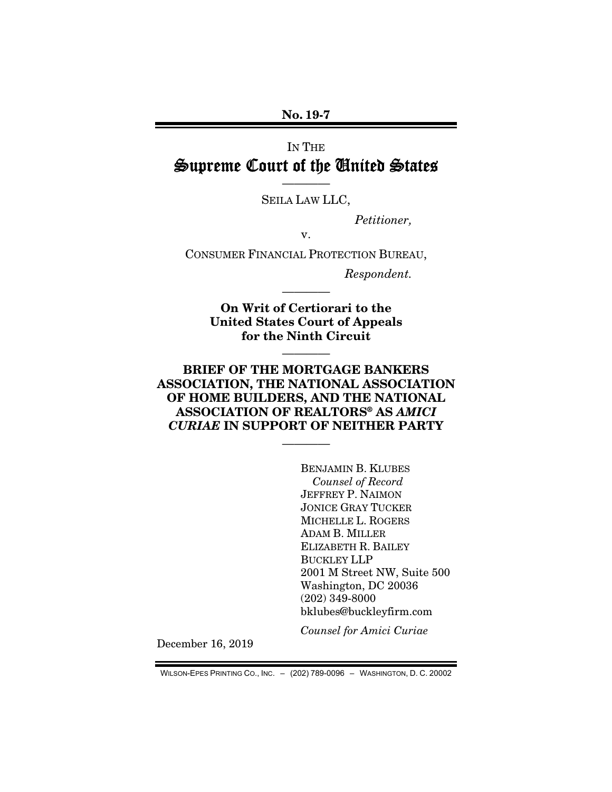### No. 19-7

# IN THE Supreme Court of the United States

———— SEILA LAW LLC,

*Petitioner,* 

v.

CONSUMER FINANCIAL PROTECTION BUREAU,

*Respondent.* 

On Writ of Certiorari to the United States Court of Appeals for the Ninth Circuit

————

————

## BRIEF OF THE MORTGAGE BANKERS ASSOCIATION, THE NATIONAL ASSOCIATION OF HOME BUILDERS, AND THE NATIONAL ASSOCIATION OF REALTORS® AS *AMICI CURIAE* IN SUPPORT OF NEITHER PARTY

————

BENJAMIN B. KLUBES *Counsel of Record*  JEFFREY P. NAIMON JONICE GRAY TUCKER MICHELLE L. ROGERS ADAM B. MILLER ELIZABETH R. BAILEY BUCKLEY LLP 2001 M Street NW, Suite 500 Washington, DC 20036 (202) 349-8000 bklubes@buckleyfirm.com

*Counsel for Amici Curiae* 

December 16, 2019

WILSON-EPES PRINTING CO., INC. – (202) 789-0096 – WASHINGTON, D. C. 20002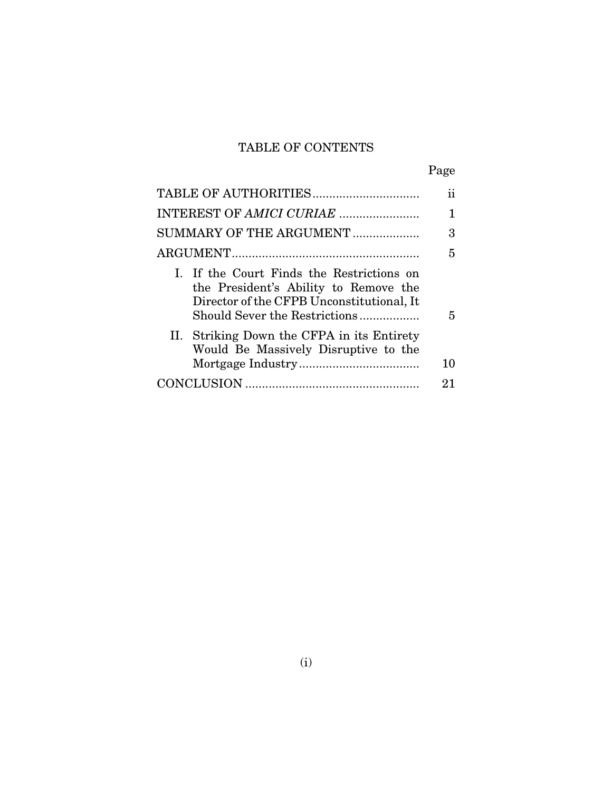# TABLE OF CONTENTS

|--|

|                                                                                                                                                                  | 11 |
|------------------------------------------------------------------------------------------------------------------------------------------------------------------|----|
|                                                                                                                                                                  |    |
| SUMMARY OF THE ARGUMENT                                                                                                                                          | 3  |
|                                                                                                                                                                  | 5  |
| I. If the Court Finds the Restrictions on<br>the President's Ability to Remove the<br>Director of the CFPB Unconstitutional, It<br>Should Sever the Restrictions | 5  |
| II. Striking Down the CFPA in its Entirety<br>Would Be Massively Disruptive to the                                                                               | 10 |
|                                                                                                                                                                  | 21 |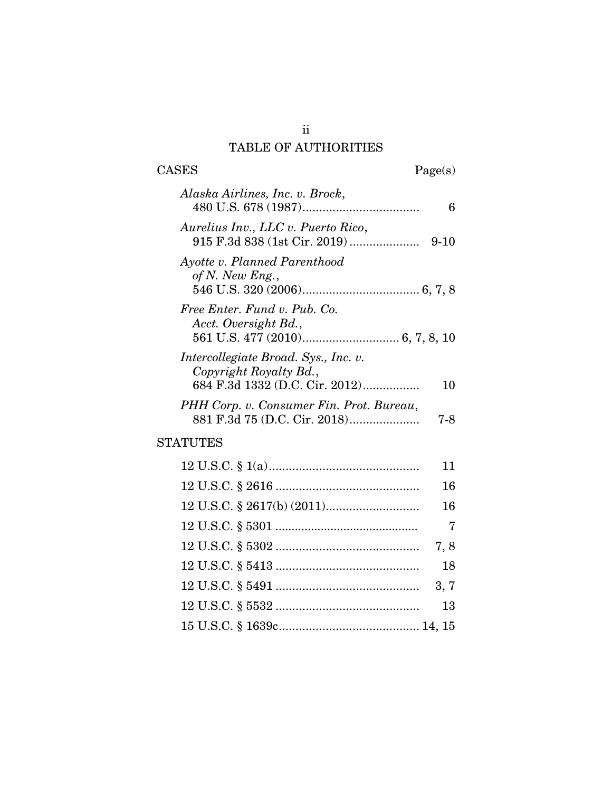# TABLE OF AUTHORITIES

| <b>CASES</b><br>Page(s)                                                                                |   |
|--------------------------------------------------------------------------------------------------------|---|
| Alaska Airlines, Inc. v. Brock,                                                                        | 6 |
| Aurelius Inv., LLC v. Puerto Rico,<br>$9-10$                                                           |   |
| Ayotte v. Planned Parenthood<br>of N. New Eng.,                                                        |   |
| Free Enter. Fund v. Pub. Co.<br>Acct. Oversight Bd.,                                                   |   |
| Intercollegiate Broad. Sys., Inc. v.<br>Copyright Royalty Bd.,<br>684 F.3d 1332 (D.C. Cir. 2012)<br>10 |   |
| PHH Corp. v. Consumer Fin. Prot. Bureau,<br>7-8                                                        |   |

# STATUTES

| 11   |
|------|
| 16   |
| 16   |
| - 7  |
| 7,8  |
| 18   |
| 3, 7 |
| 13   |
|      |

ii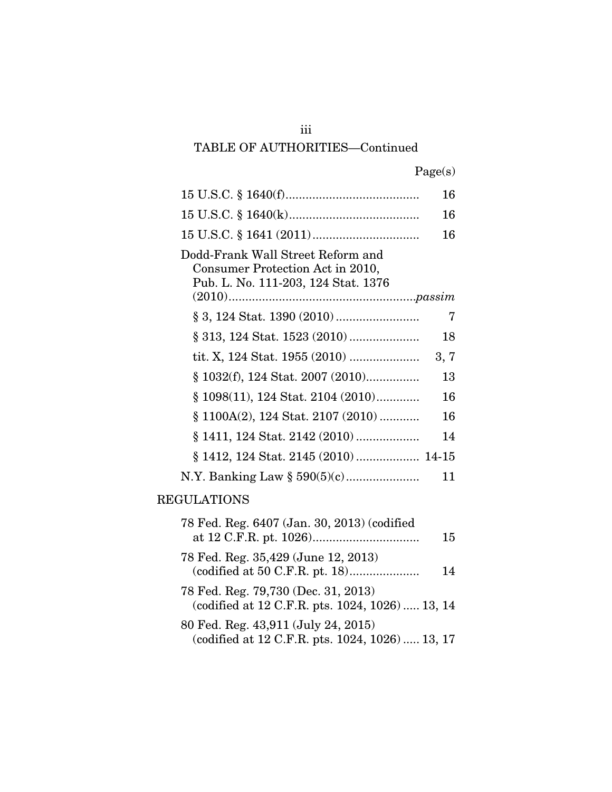## iii

## TABLE OF AUTHORITIES—Continued

|  | Page(s) |
|--|---------|
|  |         |

|                                                                                                              | 16   |
|--------------------------------------------------------------------------------------------------------------|------|
|                                                                                                              | 16   |
|                                                                                                              | 16   |
| Dodd-Frank Wall Street Reform and<br>Consumer Protection Act in 2010,<br>Pub. L. No. 111-203, 124 Stat. 1376 |      |
|                                                                                                              |      |
|                                                                                                              | 7    |
|                                                                                                              | 18   |
|                                                                                                              | 3, 7 |
| $\S 1032(f), 124$ Stat. 2007 (2010)                                                                          | 13   |
| $§$ 1098(11), 124 Stat. 2104 (2010)                                                                          | 16   |
| $\S$ 1100A(2), 124 Stat. 2107 (2010)                                                                         | 16   |
|                                                                                                              | 14   |
| § 1412, 124 Stat. 2145 (2010)  14-15                                                                         |      |
|                                                                                                              | 11   |
| <b>REGULATIONS</b>                                                                                           |      |
| 78 Fed. Reg. 6407 (Jan. 30, 2013) (codified                                                                  |      |

| 78 Fed. Reg. 6407 (Jan. 30, 2013) (codified                                            | 15 |
|----------------------------------------------------------------------------------------|----|
| 78 Fed. Reg. 35,429 (June 12, 2013)                                                    | 14 |
| 78 Fed. Reg. 79,730 (Dec. 31, 2013)<br>(codified at 12 C.F.R. pts. 1024, 1026)  13, 14 |    |
| 80 Fed. Reg. 43,911 (July 24, 2015)<br>(codified at 12 C.F.R. pts. 1024, 1026)  13, 17 |    |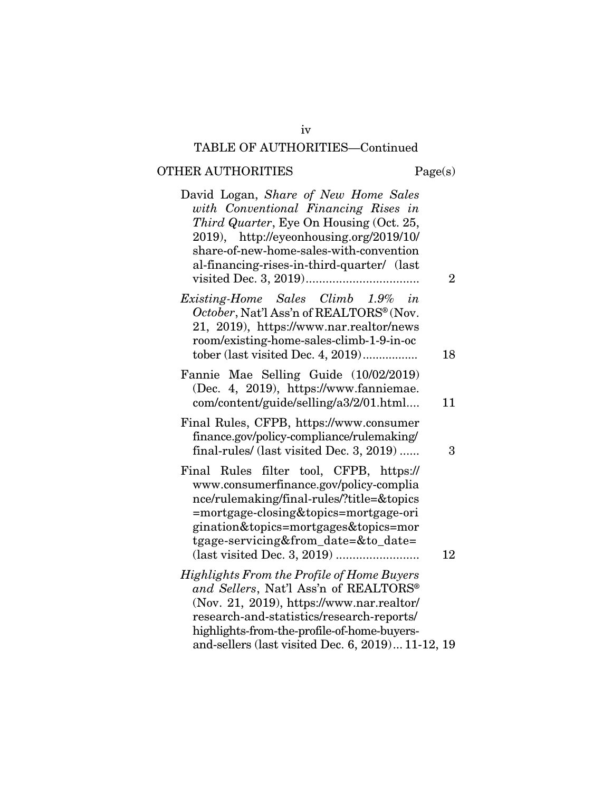## TABLE OF AUTHORITIES—Continued

# ${\bf OTHER~AUTHORITIES} \hspace{2.0cm} {\bf Page(s)}$

| David Logan, Share of New Home Sales<br>with Conventional Financing Rises in<br>Third Quarter, Eye On Housing (Oct. 25,<br>2019), http://eyeonhousing.org/2019/10/<br>share-of-new-home-sales-with-convention<br>al-financing-rises-in-third-quarter/ (last | $\overline{2}$ |
|-------------------------------------------------------------------------------------------------------------------------------------------------------------------------------------------------------------------------------------------------------------|----------------|
| Existing-Home Sales Climb 1.9%<br>in                                                                                                                                                                                                                        |                |
| October, Nat'l Ass'n of REALTORS® (Nov.<br>21, 2019), https://www.nar.realtor/news<br>room/existing-home-sales-climb-1-9-in-oc<br>tober (last visited Dec. 4, 2019)                                                                                         | 18             |
| Fannie Mae Selling Guide (10/02/2019)                                                                                                                                                                                                                       |                |
| (Dec. 4, 2019), https://www.fanniemae.                                                                                                                                                                                                                      |                |
| com/content/guide/selling/a3/2/01.html                                                                                                                                                                                                                      | 11             |
| Final Rules, CFPB, https://www.consumer<br>finance.gov/policy-compliance/rulemaking/<br>final-rules/ (last visited Dec. 3, 2019)                                                                                                                            | 3              |
| Final Rules filter tool, CFPB, https://<br>www.consumerfinance.gov/policy-complia<br>nce/rulemaking/final-rules/?title=&topics<br>=mortgage-closing&topics=mortgage-ori<br>gination&topics=mortgages&topics=mor<br>tgage-servicing&from_date=&to_date=      | 12             |
| <b>Highlights From the Profile of Home Buyers</b>                                                                                                                                                                                                           |                |
| and Sellers, Nat'l Ass'n of REALTORS®                                                                                                                                                                                                                       |                |
| (Nov. 21, 2019), https://www.nar.realtor/<br>research-and-statistics/research-reports/                                                                                                                                                                      |                |
| highlights-from-the-profile-of-home-buyers-                                                                                                                                                                                                                 |                |
| and-sellers (last visited Dec. 6, 2019) 11-12, 19                                                                                                                                                                                                           |                |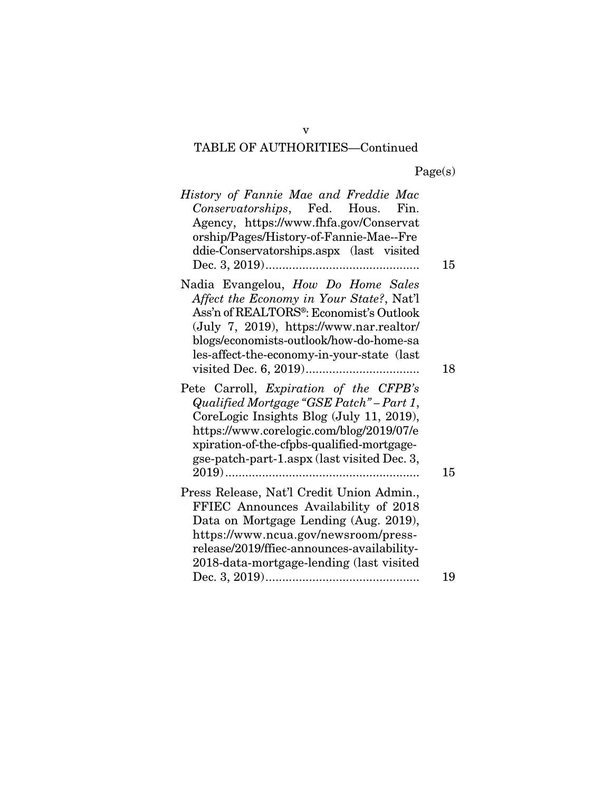## TABLE OF AUTHORITIES—Continued

| History of Fannie Mae and Freddie Mac<br>Conservatorships, Fed. Hous. Fin.<br>Agency, https://www.fhfa.gov/Conservat<br>orship/Pages/History-of-Fannie-Mae--Fre<br>ddie-Conservatorships.aspx (last visited                                                                 | 15 |
|-----------------------------------------------------------------------------------------------------------------------------------------------------------------------------------------------------------------------------------------------------------------------------|----|
| Nadia Evangelou, How Do Home Sales<br>Affect the Economy in Your State?, Nat'l<br>Ass'n of REALTORS <sup>®</sup> : Economist's Outlook<br>(July 7, 2019), https://www.nar.realtor/<br>blogs/economists-outlook/how-do-home-sa<br>les-affect-the-economy-in-your-state (last | 18 |
| Pete Carroll, Expiration of the CFPB's<br>Qualified Mortgage "GSE Patch" - Part 1,<br>CoreLogic Insights Blog (July 11, 2019),<br>https://www.corelogic.com/blog/2019/07/e<br>xpiration-of-the-cfpbs-qualified-mortgage-<br>gse-patch-part-1.aspx (last visited Dec. 3,     | 15 |
| Press Release, Nat'l Credit Union Admin.,<br>FFIEC Announces Availability of 2018<br>Data on Mortgage Lending (Aug. 2019),<br>https://www.ncua.gov/newsroom/press-<br>release/2019/ffiec-announces-availability-<br>2018-data-mortgage-lending (last visited                |    |
|                                                                                                                                                                                                                                                                             | 19 |

v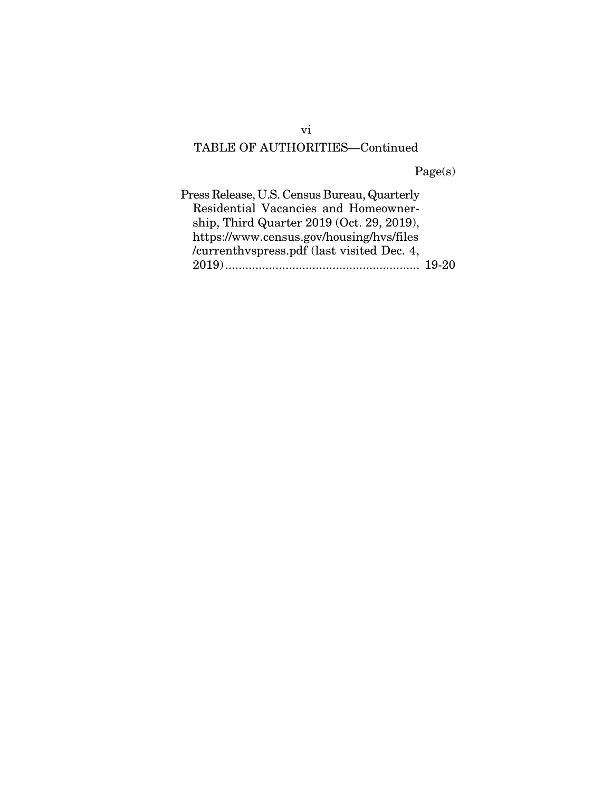## TABLE OF AUTHORITIES—Continued

Page(s)

vi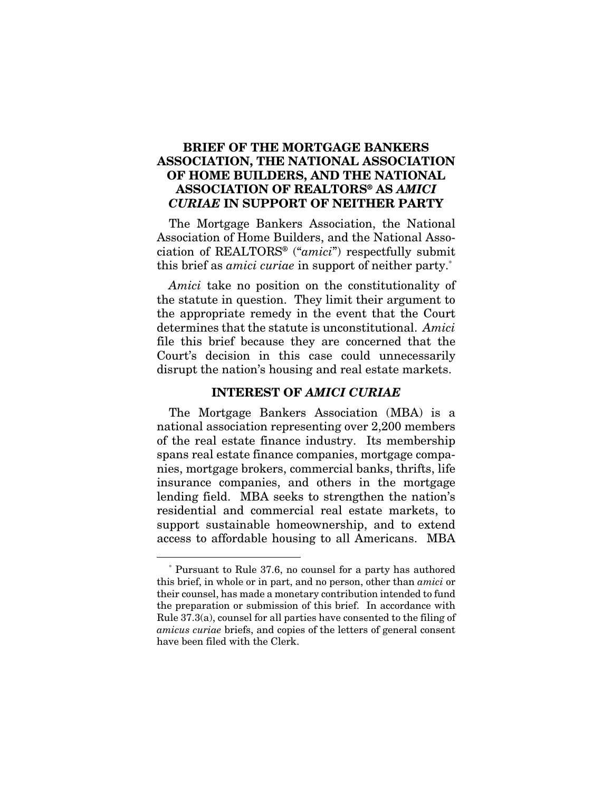## BRIEF OF THE MORTGAGE BANKERS ASSOCIATION, THE NATIONAL ASSOCIATION OF HOME BUILDERS, AND THE NATIONAL ASSOCIATION OF REALTORS® AS *AMICI CURIAE* IN SUPPORT OF NEITHER PARTY

The Mortgage Bankers Association, the National Association of Home Builders, and the National Association of REALTORS® ("*amici*") respectfully submit this brief as *amici curiae* in support of neither party.\*

*Amici* take no position on the constitutionality of the statute in question. They limit their argument to the appropriate remedy in the event that the Court determines that the statute is unconstitutional. *Amici* file this brief because they are concerned that the Court's decision in this case could unnecessarily disrupt the nation's housing and real estate markets.

### INTEREST OF *AMICI CURIAE*

The Mortgage Bankers Association (MBA) is a national association representing over 2,200 members of the real estate finance industry. Its membership spans real estate finance companies, mortgage companies, mortgage brokers, commercial banks, thrifts, life insurance companies, and others in the mortgage lending field. MBA seeks to strengthen the nation's residential and commercial real estate markets, to support sustainable homeownership, and to extend access to affordable housing to all Americans. MBA

<sup>\*</sup> Pursuant to Rule 37.6, no counsel for a party has authored this brief, in whole or in part, and no person, other than *amici* or their counsel, has made a monetary contribution intended to fund the preparation or submission of this brief. In accordance with Rule 37.3(a), counsel for all parties have consented to the filing of *amicus curiae* briefs, and copies of the letters of general consent have been filed with the Clerk.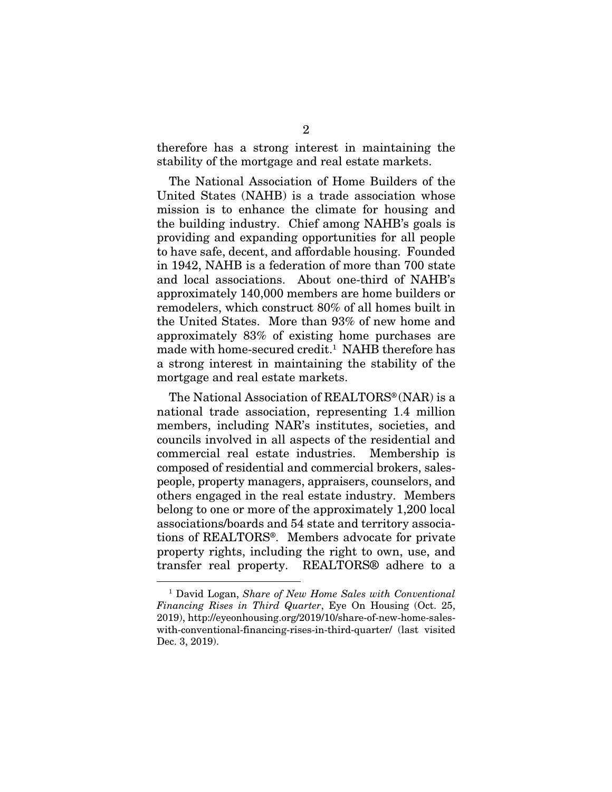therefore has a strong interest in maintaining the stability of the mortgage and real estate markets.

The National Association of Home Builders of the United States (NAHB) is a trade association whose mission is to enhance the climate for housing and the building industry. Chief among NAHB's goals is providing and expanding opportunities for all people to have safe, decent, and affordable housing. Founded in 1942, NAHB is a federation of more than 700 state and local associations. About one-third of NAHB's approximately 140,000 members are home builders or remodelers, which construct 80% of all homes built in the United States. More than 93% of new home and approximately 83% of existing home purchases are made with home-secured credit.<sup>1</sup> NAHB therefore has a strong interest in maintaining the stability of the mortgage and real estate markets.

The National Association of REALTORS® (NAR) is a national trade association, representing 1.4 million members, including NAR's institutes, societies, and councils involved in all aspects of the residential and commercial real estate industries. Membership is composed of residential and commercial brokers, salespeople, property managers, appraisers, counselors, and others engaged in the real estate industry. Members belong to one or more of the approximately 1,200 local associations/boards and 54 state and territory associations of REALTORS®. Members advocate for private property rights, including the right to own, use, and transfer real property. REALTORS® adhere to a

<sup>1</sup> David Logan, *Share of New Home Sales with Conventional Financing Rises in Third Quarter*, Eye On Housing (Oct. 25, 2019), http://eyeonhousing.org/2019/10/share-of-new-home-saleswith-conventional-financing-rises-in-third-quarter/ (last visited Dec. 3, 2019).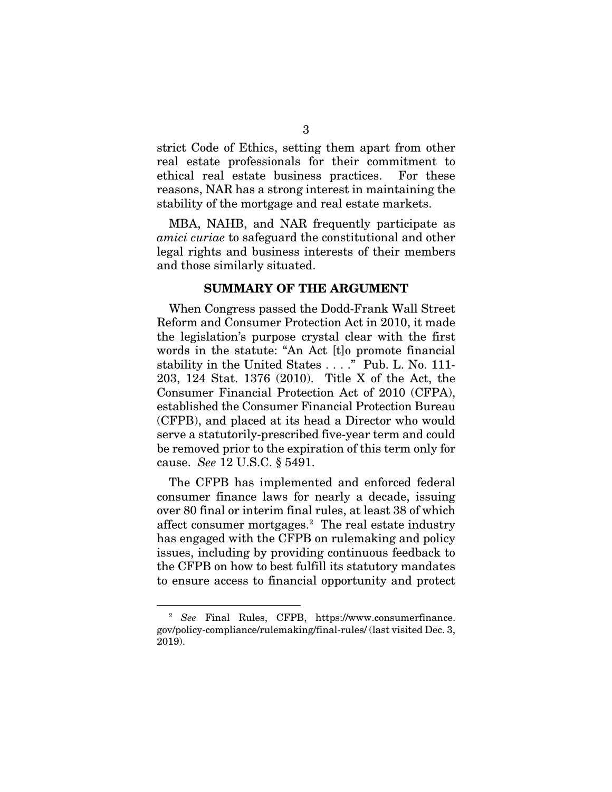strict Code of Ethics, setting them apart from other real estate professionals for their commitment to ethical real estate business practices. For these reasons, NAR has a strong interest in maintaining the stability of the mortgage and real estate markets.

MBA, NAHB, and NAR frequently participate as *amici curiae* to safeguard the constitutional and other legal rights and business interests of their members and those similarly situated.

### SUMMARY OF THE ARGUMENT

When Congress passed the Dodd-Frank Wall Street Reform and Consumer Protection Act in 2010, it made the legislation's purpose crystal clear with the first words in the statute: "An Act [t]o promote financial stability in the United States . . . ." Pub. L. No. 111- 203, 124 Stat. 1376 (2010). Title X of the Act, the Consumer Financial Protection Act of 2010 (CFPA), established the Consumer Financial Protection Bureau (CFPB), and placed at its head a Director who would serve a statutorily-prescribed five-year term and could be removed prior to the expiration of this term only for cause. *See* 12 U.S.C. § 5491.

The CFPB has implemented and enforced federal consumer finance laws for nearly a decade, issuing over 80 final or interim final rules, at least 38 of which affect consumer mortgages.2 The real estate industry has engaged with the CFPB on rulemaking and policy issues, including by providing continuous feedback to the CFPB on how to best fulfill its statutory mandates to ensure access to financial opportunity and protect

<sup>2</sup> *See* Final Rules, CFPB, https://www.consumerfinance. gov/policy-compliance/rulemaking/final-rules/ (last visited Dec. 3, 2019).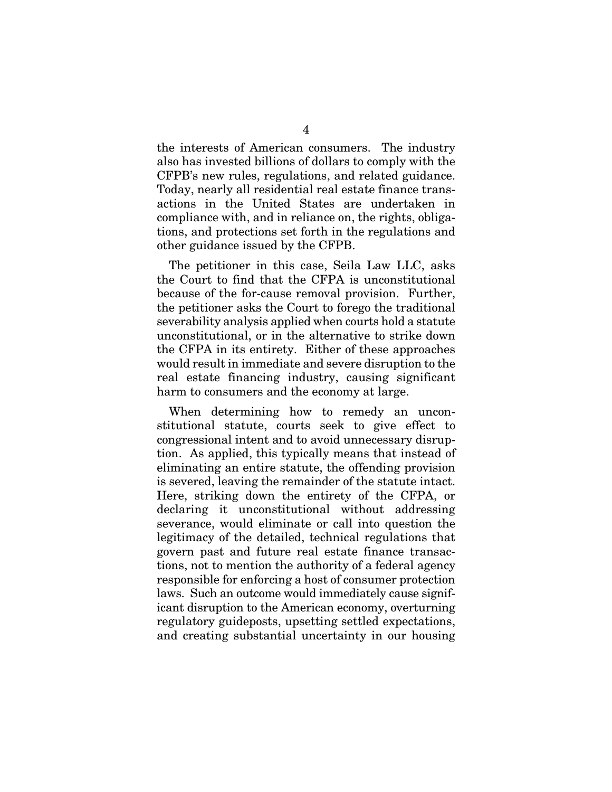the interests of American consumers. The industry also has invested billions of dollars to comply with the CFPB's new rules, regulations, and related guidance. Today, nearly all residential real estate finance transactions in the United States are undertaken in compliance with, and in reliance on, the rights, obligations, and protections set forth in the regulations and other guidance issued by the CFPB.

The petitioner in this case, Seila Law LLC, asks the Court to find that the CFPA is unconstitutional because of the for-cause removal provision. Further, the petitioner asks the Court to forego the traditional severability analysis applied when courts hold a statute unconstitutional, or in the alternative to strike down the CFPA in its entirety. Either of these approaches would result in immediate and severe disruption to the real estate financing industry, causing significant harm to consumers and the economy at large.

When determining how to remedy an unconstitutional statute, courts seek to give effect to congressional intent and to avoid unnecessary disruption. As applied, this typically means that instead of eliminating an entire statute, the offending provision is severed, leaving the remainder of the statute intact. Here, striking down the entirety of the CFPA, or declaring it unconstitutional without addressing severance, would eliminate or call into question the legitimacy of the detailed, technical regulations that govern past and future real estate finance transactions, not to mention the authority of a federal agency responsible for enforcing a host of consumer protection laws. Such an outcome would immediately cause significant disruption to the American economy, overturning regulatory guideposts, upsetting settled expectations, and creating substantial uncertainty in our housing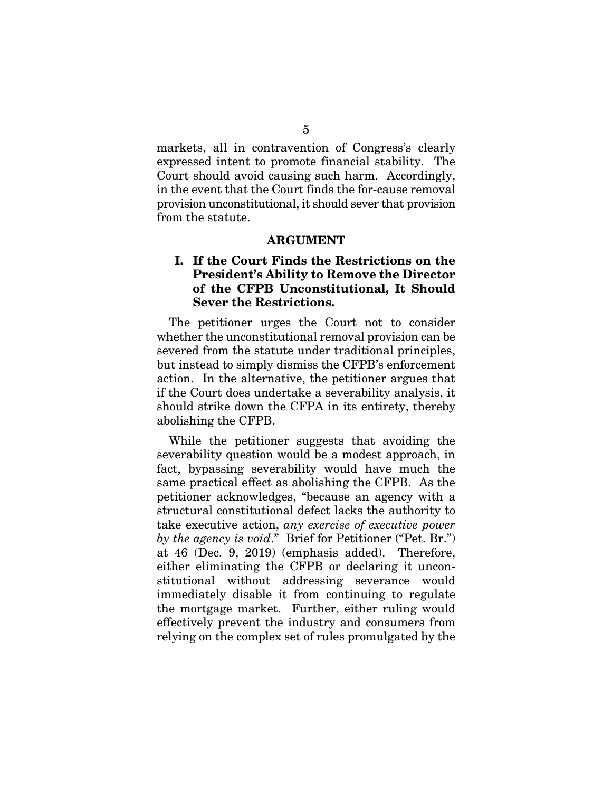markets, all in contravention of Congress's clearly expressed intent to promote financial stability. The Court should avoid causing such harm. Accordingly, in the event that the Court finds the for-cause removal provision unconstitutional, it should sever that provision from the statute.

### ARGUMENT

## I. If the Court Finds the Restrictions on the President's Ability to Remove the Director of the CFPB Unconstitutional, It Should Sever the Restrictions.

The petitioner urges the Court not to consider whether the unconstitutional removal provision can be severed from the statute under traditional principles, but instead to simply dismiss the CFPB's enforcement action. In the alternative, the petitioner argues that if the Court does undertake a severability analysis, it should strike down the CFPA in its entirety, thereby abolishing the CFPB.

While the petitioner suggests that avoiding the severability question would be a modest approach, in fact, bypassing severability would have much the same practical effect as abolishing the CFPB. As the petitioner acknowledges, "because an agency with a structural constitutional defect lacks the authority to take executive action, *any exercise of executive power by the agency is void*." Brief for Petitioner ("Pet. Br.") at 46 (Dec. 9, 2019) (emphasis added). Therefore, either eliminating the CFPB or declaring it unconstitutional without addressing severance would immediately disable it from continuing to regulate the mortgage market. Further, either ruling would effectively prevent the industry and consumers from relying on the complex set of rules promulgated by the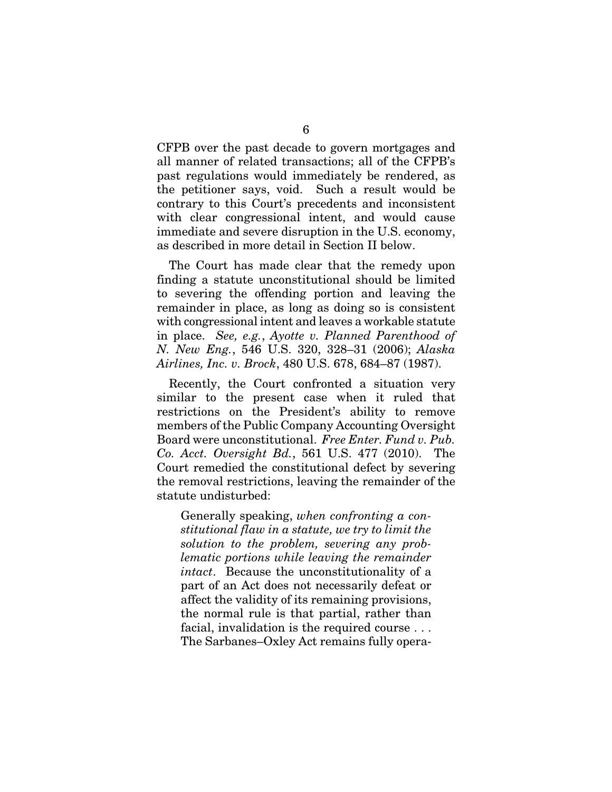CFPB over the past decade to govern mortgages and all manner of related transactions; all of the CFPB's past regulations would immediately be rendered, as the petitioner says, void. Such a result would be contrary to this Court's precedents and inconsistent with clear congressional intent, and would cause immediate and severe disruption in the U.S. economy, as described in more detail in Section II below.

The Court has made clear that the remedy upon finding a statute unconstitutional should be limited to severing the offending portion and leaving the remainder in place, as long as doing so is consistent with congressional intent and leaves a workable statute in place. *See, e.g.*, *Ayotte v. Planned Parenthood of N. New Eng.*, 546 U.S. 320, 328–31 (2006); *Alaska Airlines, Inc. v. Brock*, 480 U.S. 678, 684–87 (1987).

Recently, the Court confronted a situation very similar to the present case when it ruled that restrictions on the President's ability to remove members of the Public Company Accounting Oversight Board were unconstitutional. *Free Enter. Fund v. Pub. Co. Acct. Oversight Bd.*, 561 U.S. 477 (2010). The Court remedied the constitutional defect by severing the removal restrictions, leaving the remainder of the statute undisturbed:

Generally speaking, *when confronting a constitutional flaw in a statute, we try to limit the solution to the problem, severing any problematic portions while leaving the remainder intact*. Because the unconstitutionality of a part of an Act does not necessarily defeat or affect the validity of its remaining provisions, the normal rule is that partial, rather than facial, invalidation is the required course . . . The Sarbanes–Oxley Act remains fully opera-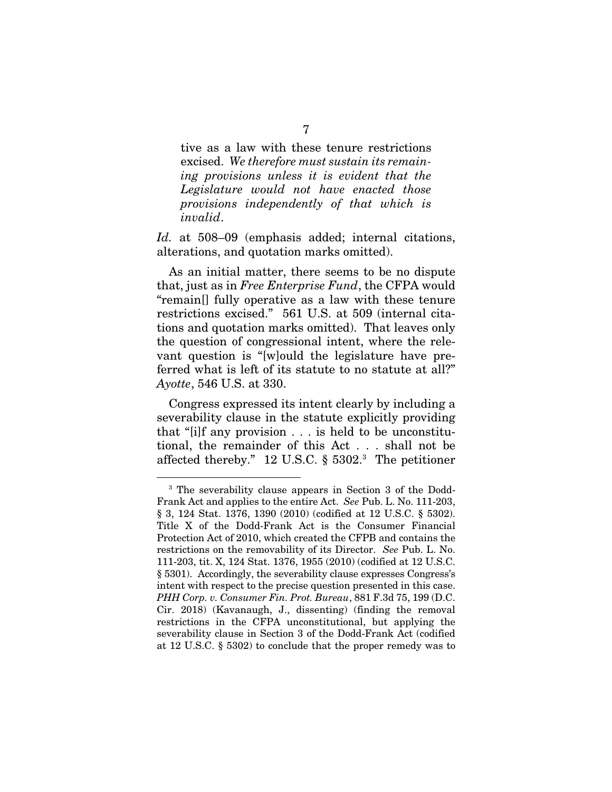tive as a law with these tenure restrictions excised. *We therefore must sustain its remaining provisions unless it is evident that the Legislature would not have enacted those provisions independently of that which is invalid*.

*Id.* at 508–09 (emphasis added; internal citations, alterations, and quotation marks omitted).

As an initial matter, there seems to be no dispute that, just as in *Free Enterprise Fund*, the CFPA would "remain[] fully operative as a law with these tenure restrictions excised." 561 U.S. at 509 (internal citations and quotation marks omitted). That leaves only the question of congressional intent, where the relevant question is "[w]ould the legislature have preferred what is left of its statute to no statute at all?" *Ayotte*, 546 U.S. at 330.

Congress expressed its intent clearly by including a severability clause in the statute explicitly providing that "[i]f any provision . . . is held to be unconstitutional, the remainder of this Act . . . shall not be affected thereby." 12 U.S.C. § 5302.3 The petitioner

<sup>3</sup> The severability clause appears in Section 3 of the Dodd-Frank Act and applies to the entire Act. *See* Pub. L. No. 111-203, § 3, 124 Stat. 1376, 1390 (2010) (codified at 12 U.S.C. § 5302). Title X of the Dodd-Frank Act is the Consumer Financial Protection Act of 2010, which created the CFPB and contains the restrictions on the removability of its Director. *See* Pub. L. No. 111-203, tit. X, 124 Stat. 1376, 1955 (2010) (codified at 12 U.S.C. § 5301). Accordingly, the severability clause expresses Congress's intent with respect to the precise question presented in this case. *PHH Corp. v. Consumer Fin. Prot. Bureau*, 881 F.3d 75, 199 (D.C. Cir. 2018) (Kavanaugh, J., dissenting) (finding the removal restrictions in the CFPA unconstitutional, but applying the severability clause in Section 3 of the Dodd-Frank Act (codified at 12 U.S.C. § 5302) to conclude that the proper remedy was to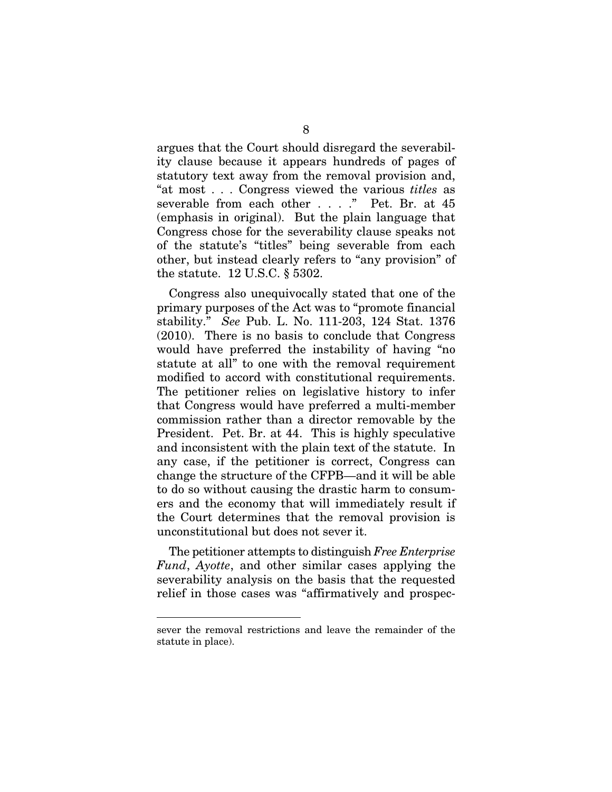argues that the Court should disregard the severability clause because it appears hundreds of pages of statutory text away from the removal provision and, "at most . . . Congress viewed the various *titles* as severable from each other . . . ." Pet. Br. at 45 (emphasis in original). But the plain language that Congress chose for the severability clause speaks not of the statute's "titles" being severable from each other, but instead clearly refers to "any provision" of the statute. 12 U.S.C. § 5302.

Congress also unequivocally stated that one of the primary purposes of the Act was to "promote financial stability." *See* Pub. L. No. 111-203, 124 Stat. 1376 (2010). There is no basis to conclude that Congress would have preferred the instability of having "no statute at all" to one with the removal requirement modified to accord with constitutional requirements. The petitioner relies on legislative history to infer that Congress would have preferred a multi-member commission rather than a director removable by the President. Pet. Br. at 44. This is highly speculative and inconsistent with the plain text of the statute. In any case, if the petitioner is correct, Congress can change the structure of the CFPB—and it will be able to do so without causing the drastic harm to consumers and the economy that will immediately result if the Court determines that the removal provision is unconstitutional but does not sever it.

The petitioner attempts to distinguish *Free Enterprise Fund*, *Ayotte*, and other similar cases applying the severability analysis on the basis that the requested relief in those cases was "affirmatively and prospec-

sever the removal restrictions and leave the remainder of the statute in place).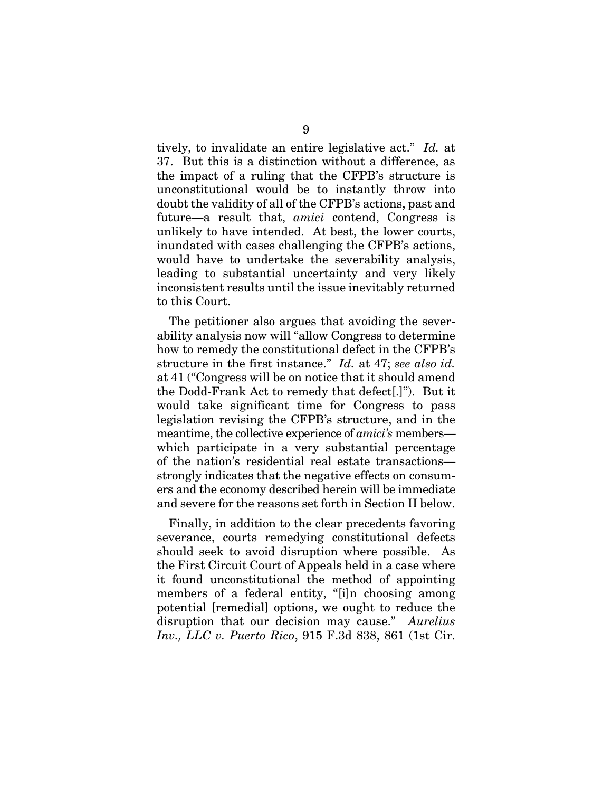tively, to invalidate an entire legislative act." *Id.* at 37. But this is a distinction without a difference, as the impact of a ruling that the CFPB's structure is unconstitutional would be to instantly throw into doubt the validity of all of the CFPB's actions, past and future—a result that, *amici* contend, Congress is unlikely to have intended. At best, the lower courts, inundated with cases challenging the CFPB's actions, would have to undertake the severability analysis, leading to substantial uncertainty and very likely inconsistent results until the issue inevitably returned to this Court.

The petitioner also argues that avoiding the severability analysis now will "allow Congress to determine how to remedy the constitutional defect in the CFPB's structure in the first instance." *Id.* at 47; *see also id.* at 41 ("Congress will be on notice that it should amend the Dodd-Frank Act to remedy that defect[.]"). But it would take significant time for Congress to pass legislation revising the CFPB's structure, and in the meantime, the collective experience of *amici's* members which participate in a very substantial percentage of the nation's residential real estate transactions strongly indicates that the negative effects on consumers and the economy described herein will be immediate and severe for the reasons set forth in Section II below.

Finally, in addition to the clear precedents favoring severance, courts remedying constitutional defects should seek to avoid disruption where possible. As the First Circuit Court of Appeals held in a case where it found unconstitutional the method of appointing members of a federal entity, "[i]n choosing among potential [remedial] options, we ought to reduce the disruption that our decision may cause." *Aurelius Inv., LLC v. Puerto Rico*, 915 F.3d 838, 861 (1st Cir.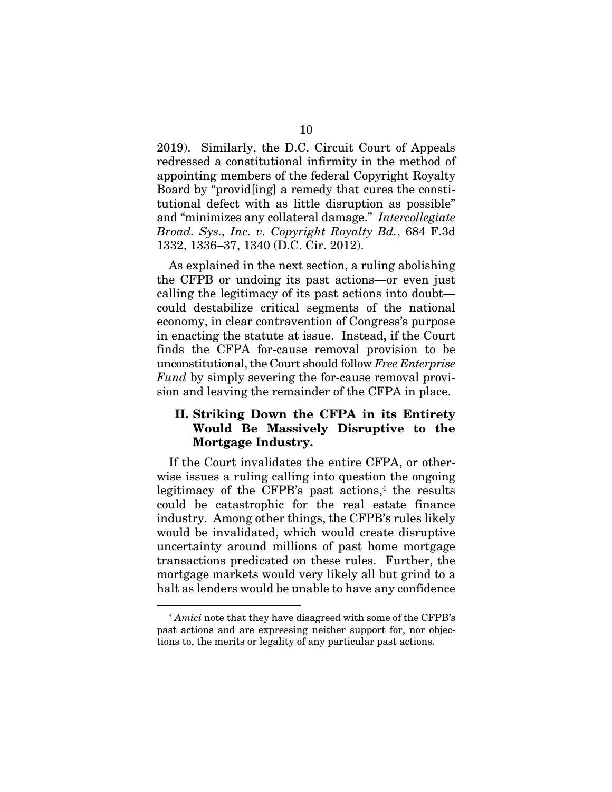2019). Similarly, the D.C. Circuit Court of Appeals redressed a constitutional infirmity in the method of appointing members of the federal Copyright Royalty Board by "provid[ing] a remedy that cures the constitutional defect with as little disruption as possible" and "minimizes any collateral damage." *Intercollegiate Broad. Sys., Inc. v. Copyright Royalty Bd.*, 684 F.3d 1332, 1336–37, 1340 (D.C. Cir. 2012).

As explained in the next section, a ruling abolishing the CFPB or undoing its past actions—or even just calling the legitimacy of its past actions into doubt could destabilize critical segments of the national economy, in clear contravention of Congress's purpose in enacting the statute at issue. Instead, if the Court finds the CFPA for-cause removal provision to be unconstitutional, the Court should follow *Free Enterprise Fund* by simply severing the for-cause removal provision and leaving the remainder of the CFPA in place.

## II. Striking Down the CFPA in its Entirety Would Be Massively Disruptive to the Mortgage Industry.

If the Court invalidates the entire CFPA, or otherwise issues a ruling calling into question the ongoing legitimacy of the CFPB's past actions, $4$  the results could be catastrophic for the real estate finance industry. Among other things, the CFPB's rules likely would be invalidated, which would create disruptive uncertainty around millions of past home mortgage transactions predicated on these rules. Further, the mortgage markets would very likely all but grind to a halt as lenders would be unable to have any confidence

<sup>4</sup> *Amici* note that they have disagreed with some of the CFPB's past actions and are expressing neither support for, nor objections to, the merits or legality of any particular past actions.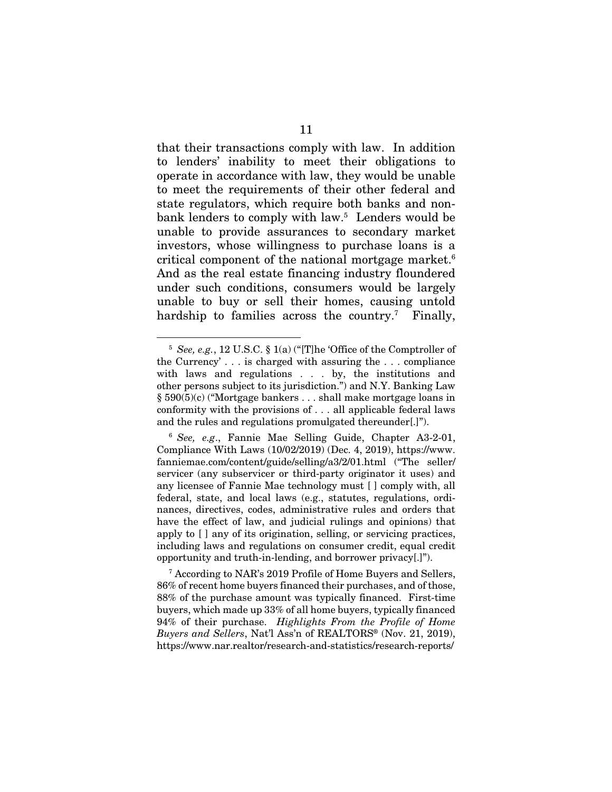that their transactions comply with law. In addition to lenders' inability to meet their obligations to operate in accordance with law, they would be unable to meet the requirements of their other federal and state regulators, which require both banks and nonbank lenders to comply with law.<sup>5</sup> Lenders would be unable to provide assurances to secondary market investors, whose willingness to purchase loans is a critical component of the national mortgage market.6 And as the real estate financing industry floundered under such conditions, consumers would be largely unable to buy or sell their homes, causing untold hardship to families across the country.<sup>7</sup> Finally,

<sup>5</sup> *See, e.g.*, 12 U.S.C. § 1(a) ("[T]he 'Office of the Comptroller of the Currency' . . . is charged with assuring the . . . compliance with laws and regulations . . . by, the institutions and other persons subject to its jurisdiction.") and N.Y. Banking Law § 590(5)(c) ("Mortgage bankers . . . shall make mortgage loans in conformity with the provisions of . . . all applicable federal laws and the rules and regulations promulgated thereunder[.]").

<sup>6</sup> *See, e.g*., Fannie Mae Selling Guide, Chapter A3-2-01, Compliance With Laws (10/02/2019) (Dec. 4, 2019), https://www. fanniemae.com/content/guide/selling/a3/2/01.html ("The seller/ servicer (any subservicer or third-party originator it uses) and any licensee of Fannie Mae technology must [ ] comply with, all federal, state, and local laws (e.g., statutes, regulations, ordinances, directives, codes, administrative rules and orders that have the effect of law, and judicial rulings and opinions) that apply to [ ] any of its origination, selling, or servicing practices, including laws and regulations on consumer credit, equal credit opportunity and truth-in-lending, and borrower privacy[.]").

<sup>7</sup> According to NAR's 2019 Profile of Home Buyers and Sellers, 86% of recent home buyers financed their purchases, and of those, 88% of the purchase amount was typically financed. First-time buyers, which made up 33% of all home buyers, typically financed 94% of their purchase. *Highlights From the Profile of Home Buyers and Sellers*, Nat'l Ass'n of REALTORS® (Nov. 21, 2019), https://www.nar.realtor/research-and-statistics/research-reports/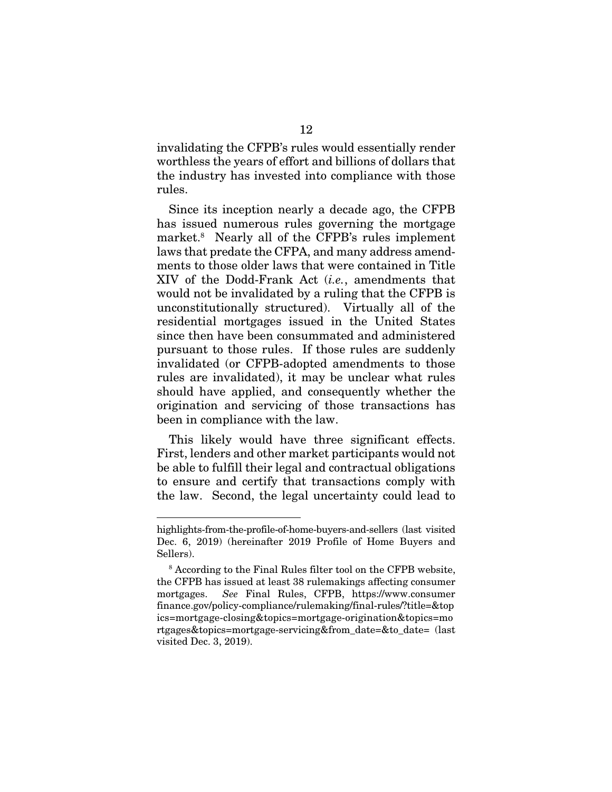invalidating the CFPB's rules would essentially render worthless the years of effort and billions of dollars that the industry has invested into compliance with those rules.

Since its inception nearly a decade ago, the CFPB has issued numerous rules governing the mortgage market.8 Nearly all of the CFPB's rules implement laws that predate the CFPA, and many address amendments to those older laws that were contained in Title XIV of the Dodd-Frank Act (*i.e.*, amendments that would not be invalidated by a ruling that the CFPB is unconstitutionally structured). Virtually all of the residential mortgages issued in the United States since then have been consummated and administered pursuant to those rules. If those rules are suddenly invalidated (or CFPB-adopted amendments to those rules are invalidated), it may be unclear what rules should have applied, and consequently whether the origination and servicing of those transactions has been in compliance with the law.

This likely would have three significant effects. First, lenders and other market participants would not be able to fulfill their legal and contractual obligations to ensure and certify that transactions comply with the law. Second, the legal uncertainty could lead to

highlights-from-the-profile-of-home-buyers-and-sellers (last visited Dec. 6, 2019) (hereinafter 2019 Profile of Home Buyers and Sellers).

<sup>8</sup> According to the Final Rules filter tool on the CFPB website, the CFPB has issued at least 38 rulemakings affecting consumer mortgages. *See* Final Rules, CFPB, https://www.consumer finance.gov/policy-compliance/rulemaking/final-rules/?title=&top ics=mortgage-closing&topics=mortgage-origination&topics=mo rtgages&topics=mortgage-servicing&from\_date=&to\_date= (last visited Dec. 3, 2019).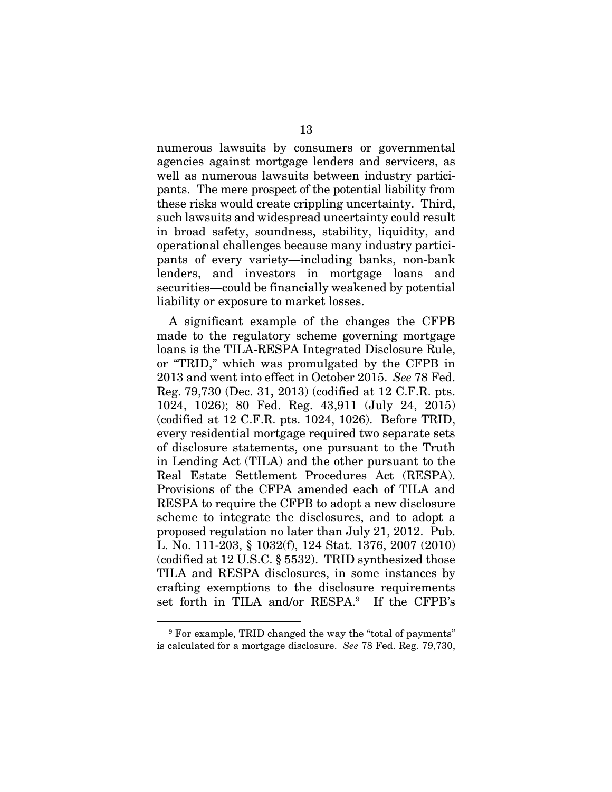numerous lawsuits by consumers or governmental agencies against mortgage lenders and servicers, as well as numerous lawsuits between industry participants. The mere prospect of the potential liability from these risks would create crippling uncertainty. Third, such lawsuits and widespread uncertainty could result in broad safety, soundness, stability, liquidity, and operational challenges because many industry participants of every variety—including banks, non-bank lenders, and investors in mortgage loans and securities—could be financially weakened by potential liability or exposure to market losses.

A significant example of the changes the CFPB made to the regulatory scheme governing mortgage loans is the TILA-RESPA Integrated Disclosure Rule, or "TRID," which was promulgated by the CFPB in 2013 and went into effect in October 2015. *See* 78 Fed. Reg. 79,730 (Dec. 31, 2013) (codified at 12 C.F.R. pts. 1024, 1026); 80 Fed. Reg. 43,911 (July 24, 2015) (codified at 12 C.F.R. pts. 1024, 1026). Before TRID, every residential mortgage required two separate sets of disclosure statements, one pursuant to the Truth in Lending Act (TILA) and the other pursuant to the Real Estate Settlement Procedures Act (RESPA). Provisions of the CFPA amended each of TILA and RESPA to require the CFPB to adopt a new disclosure scheme to integrate the disclosures, and to adopt a proposed regulation no later than July 21, 2012. Pub. L. No. 111-203, § 1032(f), 124 Stat. 1376, 2007 (2010) (codified at 12 U.S.C. § 5532). TRID synthesized those TILA and RESPA disclosures, in some instances by crafting exemptions to the disclosure requirements set forth in TILA and/or RESPA.9 If the CFPB's

<sup>9</sup> For example, TRID changed the way the "total of payments" is calculated for a mortgage disclosure. *See* 78 Fed. Reg. 79,730,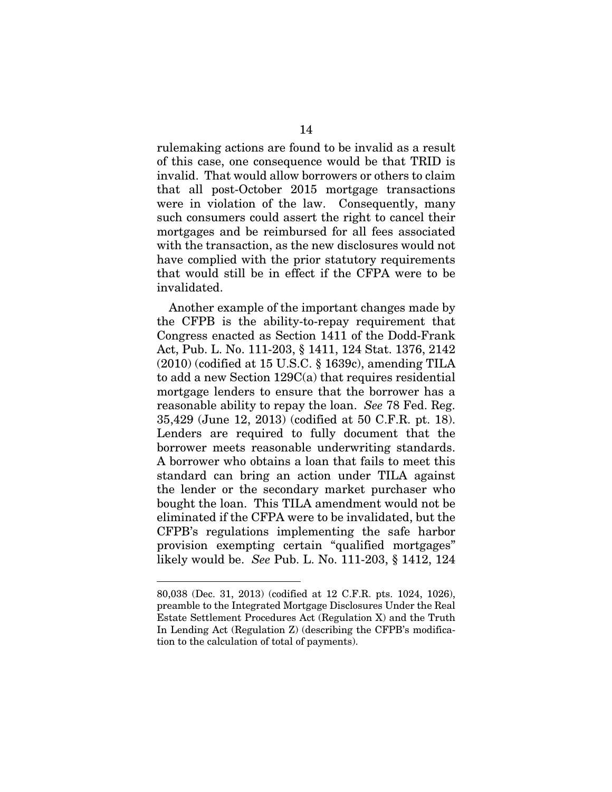rulemaking actions are found to be invalid as a result of this case, one consequence would be that TRID is invalid. That would allow borrowers or others to claim that all post-October 2015 mortgage transactions were in violation of the law. Consequently, many such consumers could assert the right to cancel their mortgages and be reimbursed for all fees associated with the transaction, as the new disclosures would not have complied with the prior statutory requirements that would still be in effect if the CFPA were to be invalidated.

Another example of the important changes made by the CFPB is the ability-to-repay requirement that Congress enacted as Section 1411 of the Dodd-Frank Act, Pub. L. No. 111-203, § 1411, 124 Stat. 1376, 2142  $(2010)$  (codified at 15 U.S.C. § 1639c), amending TILA to add a new Section 129C(a) that requires residential mortgage lenders to ensure that the borrower has a reasonable ability to repay the loan. *See* 78 Fed. Reg. 35,429 (June 12, 2013) (codified at 50 C.F.R. pt. 18). Lenders are required to fully document that the borrower meets reasonable underwriting standards. A borrower who obtains a loan that fails to meet this standard can bring an action under TILA against the lender or the secondary market purchaser who bought the loan. This TILA amendment would not be eliminated if the CFPA were to be invalidated, but the CFPB's regulations implementing the safe harbor provision exempting certain "qualified mortgages" likely would be. *See* Pub. L. No. 111-203, § 1412, 124

<sup>80,038 (</sup>Dec. 31, 2013) (codified at 12 C.F.R. pts. 1024, 1026), preamble to the Integrated Mortgage Disclosures Under the Real Estate Settlement Procedures Act (Regulation X) and the Truth In Lending Act (Regulation Z) (describing the CFPB's modification to the calculation of total of payments).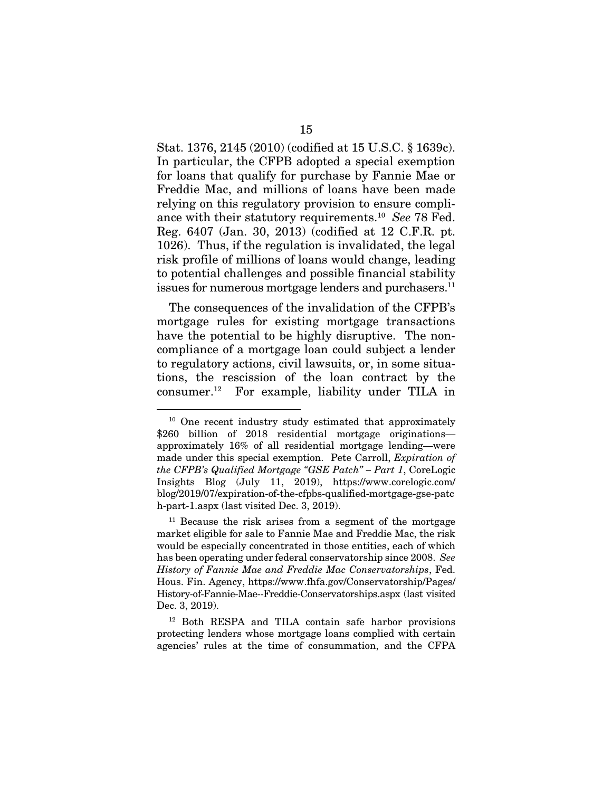Stat. 1376, 2145 (2010) (codified at 15 U.S.C. § 1639c). In particular, the CFPB adopted a special exemption for loans that qualify for purchase by Fannie Mae or Freddie Mac, and millions of loans have been made relying on this regulatory provision to ensure compliance with their statutory requirements.10 *See* 78 Fed. Reg. 6407 (Jan. 30, 2013) (codified at 12 C.F.R. pt. 1026). Thus, if the regulation is invalidated, the legal risk profile of millions of loans would change, leading to potential challenges and possible financial stability issues for numerous mortgage lenders and purchasers.<sup>11</sup>

The consequences of the invalidation of the CFPB's mortgage rules for existing mortgage transactions have the potential to be highly disruptive. The noncompliance of a mortgage loan could subject a lender to regulatory actions, civil lawsuits, or, in some situations, the rescission of the loan contract by the consumer.12 For example, liability under TILA in

<sup>&</sup>lt;sup>10</sup> One recent industry study estimated that approximately \$260 billion of 2018 residential mortgage originationsapproximately 16% of all residential mortgage lending—were made under this special exemption. Pete Carroll, *Expiration of the CFPB's Qualified Mortgage "GSE Patch" – Part 1*, CoreLogic Insights Blog (July 11, 2019), https://www.corelogic.com/ blog/2019/07/expiration-of-the-cfpbs-qualified-mortgage-gse-patc h-part-1.aspx (last visited Dec. 3, 2019).

<sup>&</sup>lt;sup>11</sup> Because the risk arises from a segment of the mortgage market eligible for sale to Fannie Mae and Freddie Mac, the risk would be especially concentrated in those entities, each of which has been operating under federal conservatorship since 2008. *See History of Fannie Mae and Freddie Mac Conservatorships*, Fed. Hous. Fin. Agency, https://www.fhfa.gov/Conservatorship/Pages/ History-of-Fannie-Mae--Freddie-Conservatorships.aspx (last visited Dec. 3, 2019).

<sup>12</sup> Both RESPA and TILA contain safe harbor provisions protecting lenders whose mortgage loans complied with certain agencies' rules at the time of consummation, and the CFPA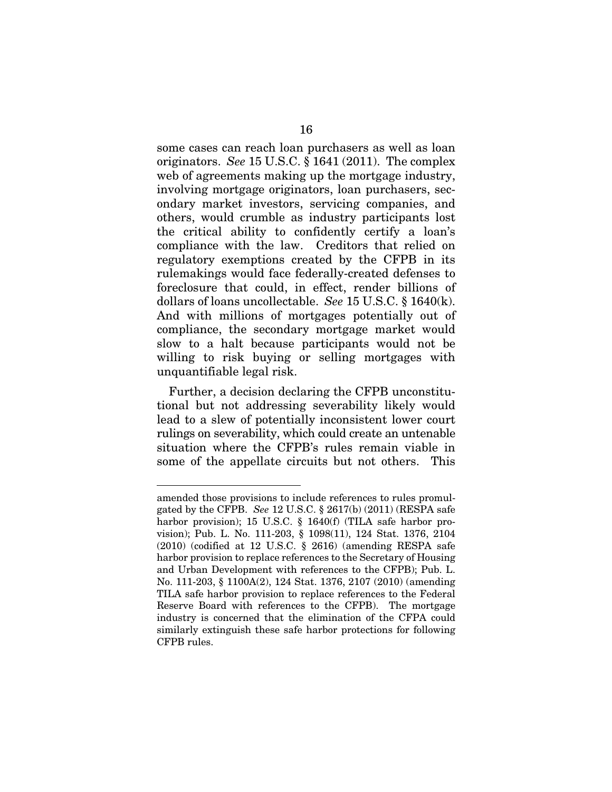some cases can reach loan purchasers as well as loan originators. *See* 15 U.S.C. § 1641 (2011). The complex web of agreements making up the mortgage industry, involving mortgage originators, loan purchasers, secondary market investors, servicing companies, and others, would crumble as industry participants lost the critical ability to confidently certify a loan's compliance with the law. Creditors that relied on regulatory exemptions created by the CFPB in its rulemakings would face federally-created defenses to foreclosure that could, in effect, render billions of dollars of loans uncollectable. *See* 15 U.S.C. § 1640(k). And with millions of mortgages potentially out of compliance, the secondary mortgage market would slow to a halt because participants would not be willing to risk buying or selling mortgages with unquantifiable legal risk.

Further, a decision declaring the CFPB unconstitutional but not addressing severability likely would lead to a slew of potentially inconsistent lower court rulings on severability, which could create an untenable situation where the CFPB's rules remain viable in some of the appellate circuits but not others. This

amended those provisions to include references to rules promulgated by the CFPB. *See* 12 U.S.C. § 2617(b) (2011) (RESPA safe harbor provision); 15 U.S.C. § 1640(f) (TILA safe harbor provision); Pub. L. No. 111-203, § 1098(11), 124 Stat. 1376, 2104 (2010) (codified at 12 U.S.C. § 2616) (amending RESPA safe harbor provision to replace references to the Secretary of Housing and Urban Development with references to the CFPB); Pub. L. No. 111-203, § 1100A(2), 124 Stat. 1376, 2107 (2010) (amending TILA safe harbor provision to replace references to the Federal Reserve Board with references to the CFPB). The mortgage industry is concerned that the elimination of the CFPA could similarly extinguish these safe harbor protections for following CFPB rules.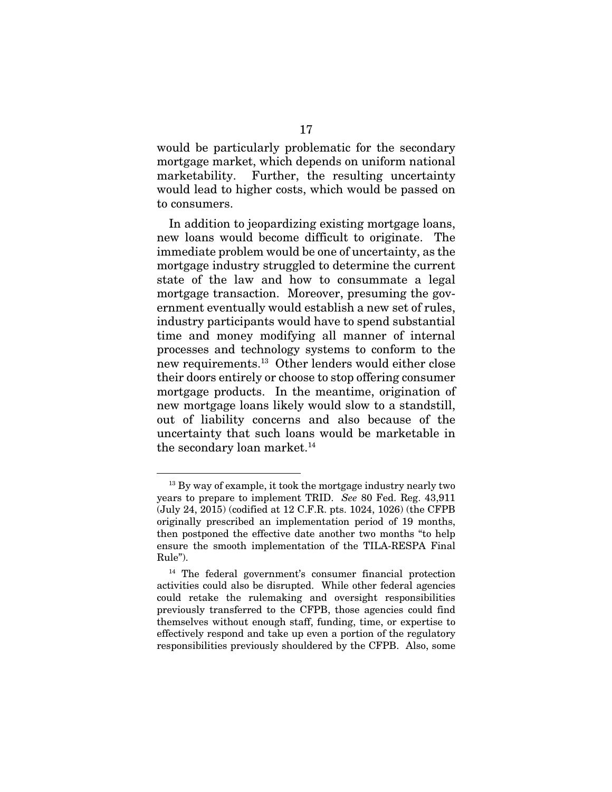would be particularly problematic for the secondary mortgage market, which depends on uniform national marketability. Further, the resulting uncertainty would lead to higher costs, which would be passed on to consumers.

In addition to jeopardizing existing mortgage loans, new loans would become difficult to originate. The immediate problem would be one of uncertainty, as the mortgage industry struggled to determine the current state of the law and how to consummate a legal mortgage transaction. Moreover, presuming the government eventually would establish a new set of rules, industry participants would have to spend substantial time and money modifying all manner of internal processes and technology systems to conform to the new requirements.13 Other lenders would either close their doors entirely or choose to stop offering consumer mortgage products. In the meantime, origination of new mortgage loans likely would slow to a standstill, out of liability concerns and also because of the uncertainty that such loans would be marketable in the secondary loan market.<sup>14</sup>

<sup>&</sup>lt;sup>13</sup> By way of example, it took the mortgage industry nearly two years to prepare to implement TRID. *See* 80 Fed. Reg. 43,911 (July 24, 2015) (codified at 12 C.F.R. pts. 1024, 1026) (the CFPB originally prescribed an implementation period of 19 months, then postponed the effective date another two months "to help ensure the smooth implementation of the TILA-RESPA Final Rule").

<sup>14</sup> The federal government's consumer financial protection activities could also be disrupted. While other federal agencies could retake the rulemaking and oversight responsibilities previously transferred to the CFPB, those agencies could find themselves without enough staff, funding, time, or expertise to effectively respond and take up even a portion of the regulatory responsibilities previously shouldered by the CFPB. Also, some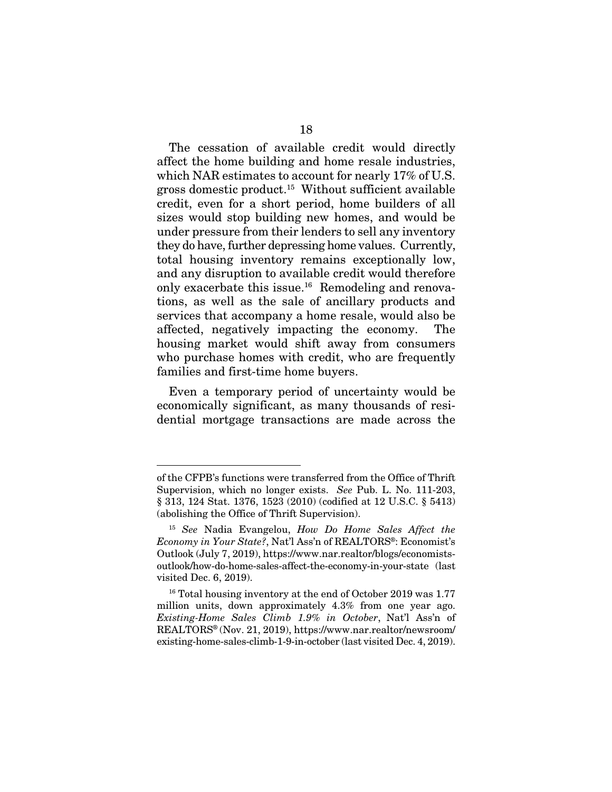The cessation of available credit would directly affect the home building and home resale industries, which NAR estimates to account for nearly 17% of U.S. gross domestic product.15 Without sufficient available credit, even for a short period, home builders of all sizes would stop building new homes, and would be under pressure from their lenders to sell any inventory they do have, further depressing home values. Currently, total housing inventory remains exceptionally low, and any disruption to available credit would therefore only exacerbate this issue.16 Remodeling and renovations, as well as the sale of ancillary products and services that accompany a home resale, would also be affected, negatively impacting the economy. The housing market would shift away from consumers who purchase homes with credit, who are frequently families and first-time home buyers.

Even a temporary period of uncertainty would be economically significant, as many thousands of residential mortgage transactions are made across the

of the CFPB's functions were transferred from the Office of Thrift Supervision, which no longer exists. *See* Pub. L. No. 111-203, § 313, 124 Stat. 1376, 1523 (2010) (codified at 12 U.S.C. § 5413) (abolishing the Office of Thrift Supervision).

<sup>15</sup> *See* Nadia Evangelou, *How Do Home Sales Affect the Economy in Your State?*, Nat'l Ass'n of REALTORS®: Economist's Outlook (July 7, 2019), https://www.nar.realtor/blogs/economistsoutlook/how-do-home-sales-affect-the-economy-in-your-state (last visited Dec. 6, 2019).

<sup>&</sup>lt;sup>16</sup> Total housing inventory at the end of October 2019 was 1.77 million units, down approximately 4.3% from one year ago. *Existing-Home Sales Climb 1.9% in October*, Nat'l Ass'n of REALTORS® (Nov. 21, 2019), https://www.nar.realtor/newsroom/ existing-home-sales-climb-1-9-in-october (last visited Dec. 4, 2019).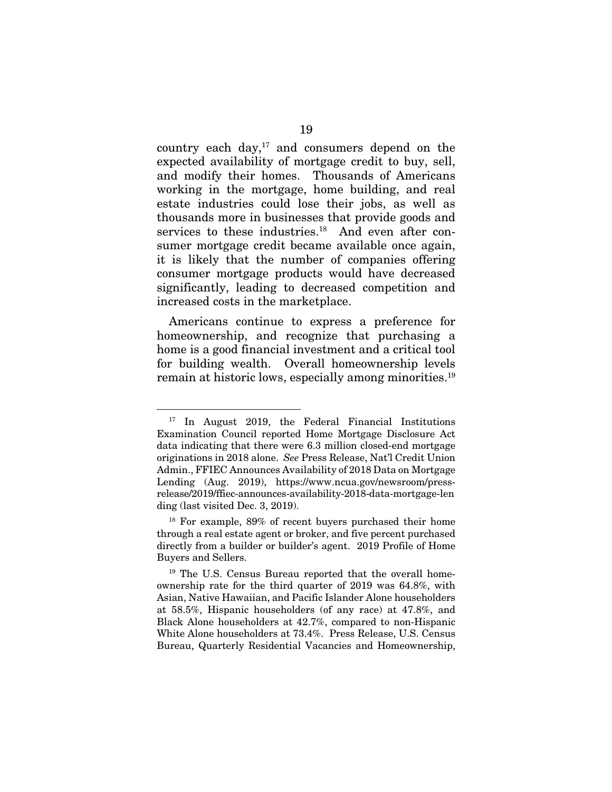country each day, $17$  and consumers depend on the expected availability of mortgage credit to buy, sell, and modify their homes. Thousands of Americans working in the mortgage, home building, and real estate industries could lose their jobs, as well as thousands more in businesses that provide goods and services to these industries.<sup>18</sup> And even after consumer mortgage credit became available once again, it is likely that the number of companies offering consumer mortgage products would have decreased significantly, leading to decreased competition and increased costs in the marketplace.

Americans continue to express a preference for homeownership, and recognize that purchasing a home is a good financial investment and a critical tool for building wealth. Overall homeownership levels remain at historic lows, especially among minorities.<sup>19</sup>

<sup>&</sup>lt;sup>17</sup> In August 2019, the Federal Financial Institutions Examination Council reported Home Mortgage Disclosure Act data indicating that there were 6.3 million closed-end mortgage originations in 2018 alone. *See* Press Release, Nat'l Credit Union Admin., FFIEC Announces Availability of 2018 Data on Mortgage Lending (Aug. 2019), https://www.ncua.gov/newsroom/pressrelease/2019/ffiec-announces-availability-2018-data-mortgage-len ding (last visited Dec. 3, 2019).

<sup>18</sup> For example, 89% of recent buyers purchased their home through a real estate agent or broker, and five percent purchased directly from a builder or builder's agent. 2019 Profile of Home Buyers and Sellers.

<sup>&</sup>lt;sup>19</sup> The U.S. Census Bureau reported that the overall homeownership rate for the third quarter of 2019 was 64.8%, with Asian, Native Hawaiian, and Pacific Islander Alone householders at 58.5%, Hispanic householders (of any race) at 47.8%, and Black Alone householders at 42.7%, compared to non-Hispanic White Alone householders at 73.4%. Press Release, U.S. Census Bureau, Quarterly Residential Vacancies and Homeownership,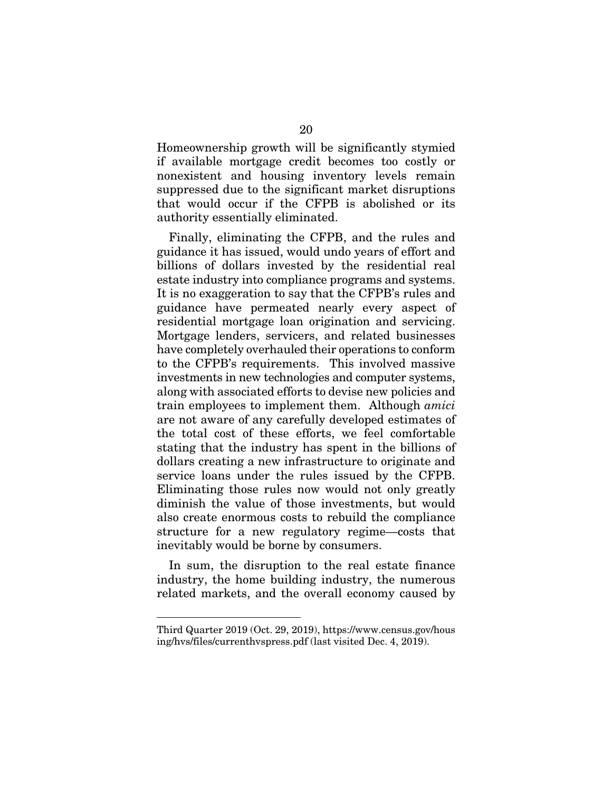Homeownership growth will be significantly stymied if available mortgage credit becomes too costly or nonexistent and housing inventory levels remain suppressed due to the significant market disruptions that would occur if the CFPB is abolished or its authority essentially eliminated.

Finally, eliminating the CFPB, and the rules and guidance it has issued, would undo years of effort and billions of dollars invested by the residential real estate industry into compliance programs and systems. It is no exaggeration to say that the CFPB's rules and guidance have permeated nearly every aspect of residential mortgage loan origination and servicing. Mortgage lenders, servicers, and related businesses have completely overhauled their operations to conform to the CFPB's requirements. This involved massive investments in new technologies and computer systems, along with associated efforts to devise new policies and train employees to implement them. Although *amici* are not aware of any carefully developed estimates of the total cost of these efforts, we feel comfortable stating that the industry has spent in the billions of dollars creating a new infrastructure to originate and service loans under the rules issued by the CFPB. Eliminating those rules now would not only greatly diminish the value of those investments, but would also create enormous costs to rebuild the compliance structure for a new regulatory regime—costs that inevitably would be borne by consumers.

In sum, the disruption to the real estate finance industry, the home building industry, the numerous related markets, and the overall economy caused by

Third Quarter 2019 (Oct. 29, 2019), https://www.census.gov/hous ing/hvs/files/currenthvspress.pdf (last visited Dec. 4, 2019).